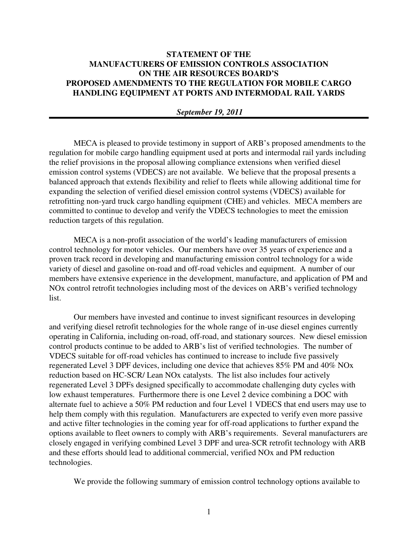# **STATEMENT OF THE MANUFACTURERS OF EMISSION CONTROLS ASSOCIATION ON THE AIR RESOURCES BOARD'S PROPOSED AMENDMENTS TO THE REGULATION FOR MOBILE CARGO HANDLING EQUIPMENT AT PORTS AND INTERMODAL RAIL YARDS**

# *September 19, 2011*

MECA is pleased to provide testimony in support of ARB's proposed amendments to the regulation for mobile cargo handling equipment used at ports and intermodal rail yards including the relief provisions in the proposal allowing compliance extensions when verified diesel emission control systems (VDECS) are not available. We believe that the proposal presents a balanced approach that extends flexibility and relief to fleets while allowing additional time for expanding the selection of verified diesel emission control systems (VDECS) available for retrofitting non-yard truck cargo handling equipment (CHE) and vehicles. MECA members are committed to continue to develop and verify the VDECS technologies to meet the emission reduction targets of this regulation.

MECA is a non-profit association of the world's leading manufacturers of emission control technology for motor vehicles. Our members have over 35 years of experience and a proven track record in developing and manufacturing emission control technology for a wide variety of diesel and gasoline on-road and off-road vehicles and equipment. A number of our members have extensive experience in the development, manufacture, and application of PM and NOx control retrofit technologies including most of the devices on ARB's verified technology list.

Our members have invested and continue to invest significant resources in developing and verifying diesel retrofit technologies for the whole range of in-use diesel engines currently operating in California, including on-road, off-road, and stationary sources. New diesel emission control products continue to be added to ARB's list of verified technologies. The number of VDECS suitable for off-road vehicles has continued to increase to include five passively regenerated Level 3 DPF devices, including one device that achieves 85% PM and 40% NOx reduction based on HC-SCR/ Lean NOx catalysts. The list also includes four actively regenerated Level 3 DPFs designed specifically to accommodate challenging duty cycles with low exhaust temperatures. Furthermore there is one Level 2 device combining a DOC with alternate fuel to achieve a 50% PM reduction and four Level 1 VDECS that end users may use to help them comply with this regulation. Manufacturers are expected to verify even more passive and active filter technologies in the coming year for off-road applications to further expand the options available to fleet owners to comply with ARB's requirements. Several manufacturers are closely engaged in verifying combined Level 3 DPF and urea-SCR retrofit technology with ARB and these efforts should lead to additional commercial, verified NOx and PM reduction technologies.

We provide the following summary of emission control technology options available to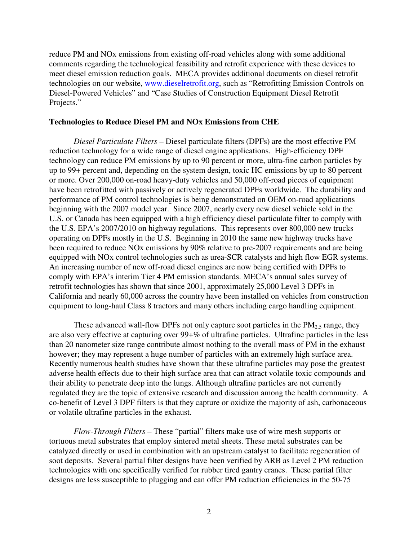reduce PM and NOx emissions from existing off-road vehicles along with some additional comments regarding the technological feasibility and retrofit experience with these devices to meet diesel emission reduction goals. MECA provides additional documents on diesel retrofit technologies on our website, www.dieselretrofit.org, such as "Retrofitting Emission Controls on Diesel-Powered Vehicles" and "Case Studies of Construction Equipment Diesel Retrofit Projects."

# **Technologies to Reduce Diesel PM and NOx Emissions from CHE**

*Diesel Particulate Filters –* Diesel particulate filters (DPFs) are the most effective PM reduction technology for a wide range of diesel engine applications. High-efficiency DPF technology can reduce PM emissions by up to 90 percent or more, ultra-fine carbon particles by up to 99+ percent and, depending on the system design, toxic HC emissions by up to 80 percent or more. Over 200,000 on-road heavy-duty vehicles and 50,000 off-road pieces of equipment have been retrofitted with passively or actively regenerated DPFs worldwide. The durability and performance of PM control technologies is being demonstrated on OEM on-road applications beginning with the 2007 model year. Since 2007, nearly every new diesel vehicle sold in the U.S. or Canada has been equipped with a high efficiency diesel particulate filter to comply with the U.S. EPA's 2007/2010 on highway regulations. This represents over 800,000 new trucks operating on DPFs mostly in the U.S. Beginning in 2010 the same new highway trucks have been required to reduce NOx emissions by 90% relative to pre-2007 requirements and are being equipped with NOx control technologies such as urea-SCR catalysts and high flow EGR systems. An increasing number of new off-road diesel engines are now being certified with DPFs to comply with EPA's interim Tier 4 PM emission standards. MECA's annual sales survey of retrofit technologies has shown that since 2001, approximately 25,000 Level 3 DPFs in California and nearly 60,000 across the country have been installed on vehicles from construction equipment to long-haul Class 8 tractors and many others including cargo handling equipment.

These advanced wall-flow DPFs not only capture soot particles in the  $PM<sub>2.5</sub>$  range, they are also very effective at capturing over 99+% of ultrafine particles. Ultrafine particles in the less than 20 nanometer size range contribute almost nothing to the overall mass of PM in the exhaust however; they may represent a huge number of particles with an extremely high surface area. Recently numerous health studies have shown that these ultrafine particles may pose the greatest adverse health effects due to their high surface area that can attract volatile toxic compounds and their ability to penetrate deep into the lungs. Although ultrafine particles are not currently regulated they are the topic of extensive research and discussion among the health community. A co-benefit of Level 3 DPF filters is that they capture or oxidize the majority of ash, carbonaceous or volatile ultrafine particles in the exhaust.

*Flow-Through Filters –* These "partial" filters make use of wire mesh supports or tortuous metal substrates that employ sintered metal sheets. These metal substrates can be catalyzed directly or used in combination with an upstream catalyst to facilitate regeneration of soot deposits. Several partial filter designs have been verified by ARB as Level 2 PM reduction technologies with one specifically verified for rubber tired gantry cranes. These partial filter designs are less susceptible to plugging and can offer PM reduction efficiencies in the 50-75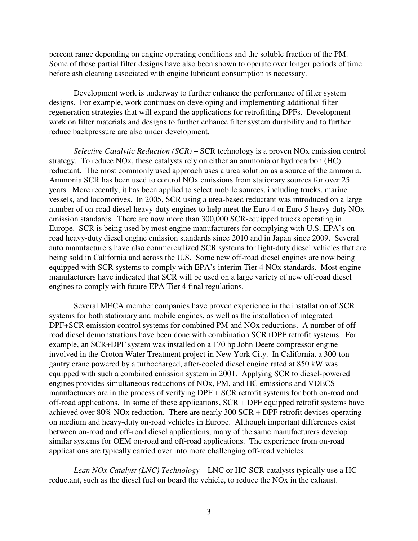percent range depending on engine operating conditions and the soluble fraction of the PM. Some of these partial filter designs have also been shown to operate over longer periods of time before ash cleaning associated with engine lubricant consumption is necessary.

Development work is underway to further enhance the performance of filter system designs. For example, work continues on developing and implementing additional filter regeneration strategies that will expand the applications for retrofitting DPFs. Development work on filter materials and designs to further enhance filter system durability and to further reduce backpressure are also under development.

*Selective Catalytic Reduction (SCR)* **–** SCR technology is a proven NOx emission control strategy. To reduce NOx, these catalysts rely on either an ammonia or hydrocarbon (HC) reductant. The most commonly used approach uses a urea solution as a source of the ammonia. Ammonia SCR has been used to control NOx emissions from stationary sources for over 25 years. More recently, it has been applied to select mobile sources, including trucks, marine vessels, and locomotives. In 2005, SCR using a urea-based reductant was introduced on a large number of on-road diesel heavy-duty engines to help meet the Euro 4 or Euro 5 heavy-duty NOx emission standards. There are now more than 300,000 SCR-equipped trucks operating in Europe.SCR is being used by most engine manufacturers for complying with U.S. EPA's onroad heavy-duty diesel engine emission standards since 2010 and in Japan since 2009. Several auto manufacturers have also commercialized SCR systems for light-duty diesel vehicles that are being sold in California and across the U.S. Some new off-road diesel engines are now being equipped with SCR systems to comply with EPA's interim Tier 4 NOx standards. Most engine manufacturers have indicated that SCR will be used on a large variety of new off-road diesel engines to comply with future EPA Tier 4 final regulations.

Several MECA member companies have proven experience in the installation of SCR systems for both stationary and mobile engines, as well as the installation of integrated DPF+SCR emission control systems for combined PM and NOx reductions. A number of offroad diesel demonstrations have been done with combination SCR+DPF retrofit systems. For example, an SCR+DPF system was installed on a 170 hp John Deere compressor engine involved in the Croton Water Treatment project in New York City. In California, a 300-ton gantry crane powered by a turbocharged, after-cooled diesel engine rated at 850 kW was equipped with such a combined emission system in 2001. Applying SCR to diesel-powered engines provides simultaneous reductions of NOx, PM, and HC emissions and VDECS manufacturers are in the process of verifying DPF + SCR retrofit systems for both on-road and off-road applications. In some of these applications, SCR + DPF equipped retrofit systems have achieved over 80% NOx reduction. There are nearly 300 SCR + DPF retrofit devices operating on medium and heavy-duty on-road vehicles in Europe. Although important differences exist between on-road and off-road diesel applications, many of the same manufacturers develop similar systems for OEM on-road and off-road applications. The experience from on-road applications are typically carried over into more challenging off-road vehicles.

*Lean NOx Catalyst (LNC) Technology* – LNC or HC-SCR catalysts typically use a HC reductant, such as the diesel fuel on board the vehicle, to reduce the NOx in the exhaust.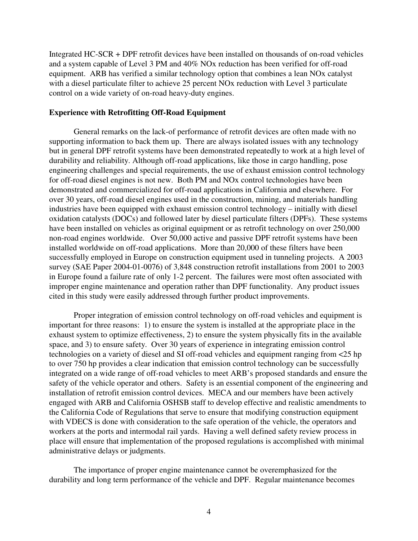Integrated HC-SCR + DPF retrofit devices have been installed on thousands of on-road vehicles and a system capable of Level 3 PM and 40% NOx reduction has been verified for off-road equipment. ARB has verified a similar technology option that combines a lean NOx catalyst with a diesel particulate filter to achieve 25 percent NOx reduction with Level 3 particulate control on a wide variety of on-road heavy-duty engines.

# **Experience with Retrofitting Off-Road Equipment**

General remarks on the lack-of performance of retrofit devices are often made with no supporting information to back them up. There are always isolated issues with any technology but in general DPF retrofit systems have been demonstrated repeatedly to work at a high level of durability and reliability. Although off-road applications, like those in cargo handling, pose engineering challenges and special requirements, the use of exhaust emission control technology for off-road diesel engines is not new. Both PM and NOx control technologies have been demonstrated and commercialized for off-road applications in California and elsewhere.For over 30 years, off-road diesel engines used in the construction, mining, and materials handling industries have been equipped with exhaust emission control technology – initially with diesel oxidation catalysts (DOCs) and followed later by diesel particulate filters (DPFs). These systems have been installed on vehicles as original equipment or as retrofit technology on over 250,000 non-road engines worldwide. Over 50,000 active and passive DPF retrofit systems have been installed worldwide on off-road applications. More than 20,000 of these filters have been successfully employed in Europe on construction equipment used in tunneling projects. A 2003 survey (SAE Paper 2004-01-0076) of 3,848 construction retrofit installations from 2001 to 2003 in Europe found a failure rate of only 1-2 percent. The failures were most often associated with improper engine maintenance and operation rather than DPF functionality. Any product issues cited in this study were easily addressed through further product improvements.

Proper integration of emission control technology on off-road vehicles and equipment is important for three reasons: 1) to ensure the system is installed at the appropriate place in the exhaust system to optimize effectiveness, 2) to ensure the system physically fits in the available space, and 3) to ensure safety. Over 30 years of experience in integrating emission control technologies on a variety of diesel and SI off-road vehicles and equipment ranging from <25 hp to over 750 hp provides a clear indication that emission control technology can be successfully integrated on a wide range of off-road vehicles to meet ARB's proposed standards and ensure the safety of the vehicle operator and others. Safety is an essential component of the engineering and installation of retrofit emission control devices. MECA and our members have been actively engaged with ARB and California OSHSB staff to develop effective and realistic amendments to the California Code of Regulations that serve to ensure that modifying construction equipment with VDECS is done with consideration to the safe operation of the vehicle, the operators and workers at the ports and intermodal rail yards. Having a well defined safety review process in place will ensure that implementation of the proposed regulations is accomplished with minimal administrative delays or judgments.

The importance of proper engine maintenance cannot be overemphasized for the durability and long term performance of the vehicle and DPF. Regular maintenance becomes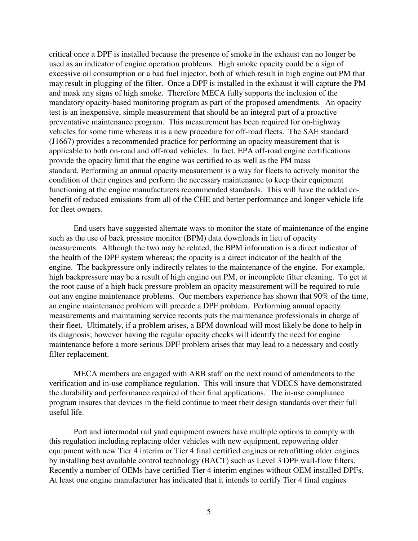critical once a DPF is installed because the presence of smoke in the exhaust can no longer be used as an indicator of engine operation problems. High smoke opacity could be a sign of excessive oil consumption or a bad fuel injector, both of which result in high engine out PM that may result in plugging of the filter. Once a DPF is installed in the exhaust it will capture the PM and mask any signs of high smoke. Therefore MECA fully supports the inclusion of the mandatory opacity-based monitoring program as part of the proposed amendments. An opacity test is an inexpensive, simple measurement that should be an integral part of a proactive preventative maintenance program. This measurement has been required for on-highway vehicles for some time whereas it is a new procedure for off-road fleets. The SAE standard (J1667) provides a recommended practice for performing an opacity measurement that is applicable to both on-road and off-road vehicles. In fact, EPA off-road engine certifications provide the opacity limit that the engine was certified to as well as the PM mass standard. Performing an annual opacity measurement is a way for fleets to actively monitor the condition of their engines and perform the necessary maintenance to keep their equipment functioning at the engine manufacturers recommended standards. This will have the added cobenefit of reduced emissions from all of the CHE and better performance and longer vehicle life for fleet owners.

End users have suggested alternate ways to monitor the state of maintenance of the engine such as the use of back pressure monitor (BPM) data downloads in lieu of opacity measurements. Although the two may be related, the BPM information is a direct indicator of the health of the DPF system whereas; the opacity is a direct indicator of the health of the engine. The backpressure only indirectly relates to the maintenance of the engine. For example, high backpressure may be a result of high engine out PM, or incomplete filter cleaning. To get at the root cause of a high back pressure problem an opacity measurement will be required to rule out any engine maintenance problems. Our members experience has shown that 90% of the time, an engine maintenance problem will precede a DPF problem. Performing annual opacity measurements and maintaining service records puts the maintenance professionals in charge of their fleet. Ultimately, if a problem arises, a BPM download will most likely be done to help in its diagnosis; however having the regular opacity checks will identify the need for engine maintenance before a more serious DPF problem arises that may lead to a necessary and costly filter replacement.

MECA members are engaged with ARB staff on the next round of amendments to the verification and in-use compliance regulation. This will insure that VDECS have demonstrated the durability and performance required of their final applications. The in-use compliance program insures that devices in the field continue to meet their design standards over their full useful life.

Port and intermodal rail yard equipment owners have multiple options to comply with this regulation including replacing older vehicles with new equipment, repowering older equipment with new Tier 4 interim or Tier 4 final certified engines or retrofitting older engines by installing best available control technology (BACT) such as Level 3 DPF wall-flow filters. Recently a number of OEMs have certified Tier 4 interim engines without OEM installed DPFs. At least one engine manufacturer has indicated that it intends to certify Tier 4 final engines